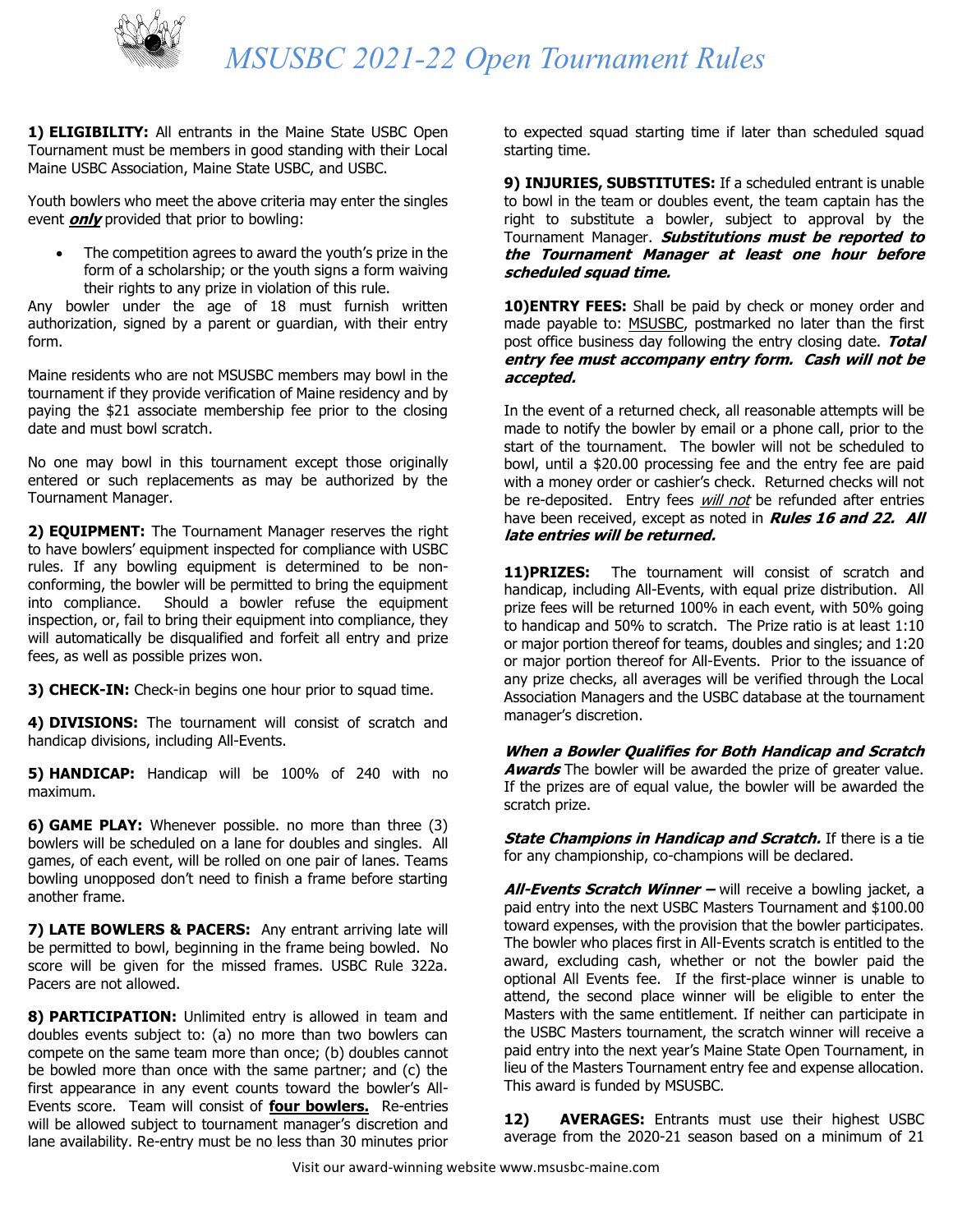

## *MSUSBC 2021-22 Open Tournament Rules*

**1) ELIGIBILITY:** All entrants in the Maine State USBC Open Tournament must be members in good standing with their Local Maine USBC Association, Maine State USBC, and USBC.

Youth bowlers who meet the above criteria may enter the singles event **only** provided that prior to bowling:

The competition agrees to award the youth's prize in the form of a scholarship; or the youth signs a form waiving their rights to any prize in violation of this rule.

Any bowler under the age of 18 must furnish written authorization, signed by a parent or guardian, with their entry form.

Maine residents who are not MSUSBC members may bowl in the tournament if they provide verification of Maine residency and by paying the \$21 associate membership fee prior to the closing date and must bowl scratch.

No one may bowl in this tournament except those originally entered or such replacements as may be authorized by the Tournament Manager.

**2) EQUIPMENT:** The Tournament Manager reserves the right to have bowlers' equipment inspected for compliance with USBC rules. If any bowling equipment is determined to be nonconforming, the bowler will be permitted to bring the equipment into compliance. Should a bowler refuse the equipment inspection, or, fail to bring their equipment into compliance, they will automatically be disqualified and forfeit all entry and prize fees, as well as possible prizes won.

**3) CHECK-IN:** Check-in begins one hour prior to squad time.

**4) DIVISIONS:** The tournament will consist of scratch and handicap divisions, including All-Events.

**5) HANDICAP:** Handicap will be 100% of 240 with no maximum.

**6) GAME PLAY:** Whenever possible. no more than three (3) bowlers will be scheduled on a lane for doubles and singles. All games, of each event, will be rolled on one pair of lanes. Teams bowling unopposed don't need to finish a frame before starting another frame.

**7) LATE BOWLERS & PACERS:** Any entrant arriving late will be permitted to bowl, beginning in the frame being bowled. No score will be given for the missed frames. USBC Rule 322a. Pacers are not allowed.

**8) PARTICIPATION:** Unlimited entry is allowed in team and doubles events subject to: (a) no more than two bowlers can compete on the same team more than once; (b) doubles cannot be bowled more than once with the same partner; and (c) the first appearance in any event counts toward the bowler's All-Events score. Team will consist of **four bowlers.** Re-entries will be allowed subject to tournament manager's discretion and lane availability. Re-entry must be no less than 30 minutes prior

to expected squad starting time if later than scheduled squad starting time.

**9) INJURIES, SUBSTITUTES:** If a scheduled entrant is unable to bowl in the team or doubles event, the team captain has the right to substitute a bowler, subject to approval by the Tournament Manager. **Substitutions must be reported to the Tournament Manager at least one hour before scheduled squad time.**

**10)ENTRY FEES:** Shall be paid by check or money order and made payable to: MSUSBC, postmarked no later than the first post office business day following the entry closing date. **Total entry fee must accompany entry form. Cash will not be accepted.**

In the event of a returned check, all reasonable attempts will be made to notify the bowler by email or a phone call, prior to the start of the tournament. The bowler will not be scheduled to bowl, until a \$20.00 processing fee and the entry fee are paid with a money order or cashier's check. Returned checks will not be re-deposited. Entry fees *will not* be refunded after entries have been received, except as noted in **Rules 16 and 22. All late entries will be returned.**

11)PRIZES: The tournament will consist of scratch and handicap, including All-Events, with equal prize distribution. All prize fees will be returned 100% in each event, with 50% going to handicap and 50% to scratch. The Prize ratio is at least 1:10 or major portion thereof for teams, doubles and singles; and 1:20 or major portion thereof for All-Events. Prior to the issuance of any prize checks, all averages will be verified through the Local Association Managers and the USBC database at the tournament manager's discretion.

**When a Bowler Qualifies for Both Handicap and Scratch Awards** The bowler will be awarded the prize of greater value. If the prizes are of equal value, the bowler will be awarded the scratch prize.

**State Champions in Handicap and Scratch.** If there is a tie for any championship, co-champions will be declared.

**All-Events Scratch Winner –** will receive a bowling jacket, a paid entry into the next USBC Masters Tournament and \$100.00 toward expenses, with the provision that the bowler participates. The bowler who places first in All-Events scratch is entitled to the award, excluding cash, whether or not the bowler paid the optional All Events fee. If the first-place winner is unable to attend, the second place winner will be eligible to enter the Masters with the same entitlement. If neither can participate in the USBC Masters tournament, the scratch winner will receive a paid entry into the next year's Maine State Open Tournament, in lieu of the Masters Tournament entry fee and expense allocation. This award is funded by MSUSBC.

**12) AVERAGES:** Entrants must use their highest USBC average from the 2020-21 season based on a minimum of 21